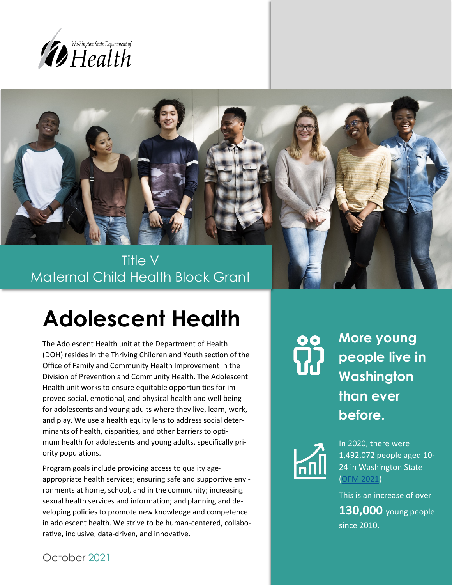



Maternal Child Health Block Grant

# **Adolescent Health**

The Adolescent Health unit at the Department of Health (DOH) resides in the Thriving Children and Youth section of the Office of Family and Community Health Improvement in the Division of Prevention and Community Health. The Adolescent Health unit works to ensure equitable opportunities for improved social, emotional, and physical health and well-being for adolescents and young adults where they live, learn, work, and play. We use a health equity lens to address social determinants of health, disparities, and other barriers to optimum health for adolescents and young adults, specifically priority populations.

Program goals include providing access to quality ageappropriate health services; ensuring safe and supportive environments at home, school, and in the community; increasing sexual health services and information; and planning and developing policies to promote new knowledge and competence in adolescent health. We strive to be human-centered, collaborative, inclusive, data-driven, and innovative.

**ကို** 

**More young people live in Washington than ever before.**



In 2020, there were 1,492,072 people aged 10- 24 in Washington State ([OFM 2021\)](https://ofm.wa.gov/washington-data-research/population-demographics/population-estimates/estimates-april-1-population-age-sex-race-and-hispanic-origin)

This is an increase of over **130,000** young people since 2010.

October 2021